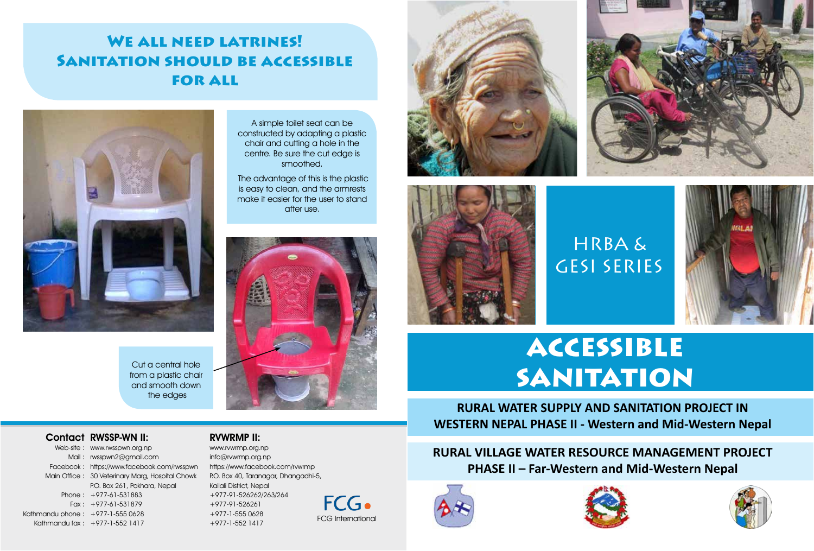## WE ALL NEED LATRINES! Sanitation should be accessible **FOR ALL**

A simple toilet seat can be constructed by adapting a plastic chair and cutting a hole in the centre. Be sure the cut edge is smoothed. The advantage of this is the plastic is easy to clean, and the armrests make it easier for the user to stand after use.



Cut a central hole from a plastic chair and smooth down the edges

Contact RWSSP-WN II:

Web-site : www.rwsspwn.org.np Mail : rwsspwn2@gmail.com Facebook : https://www.facebook.com/rwsspwn Main Office : 30 Veterinary Marg, Hospital Chowk Phone : +977-61-531883 Fax : +977-61-531879 Kathmandu phone : +977-1-555 0628 Kathmandu fax : +977-1-552 1417 P.O. Box 261, Pokhara, Nepal

## RVWRMP II:

www.rvwrmp.org.np info@rvwrmp.org.np https://www.facebook.com/rvwrmp P.O. Box 40, Taranagar, Dhangadhi-5, Kailali District, Nepal +977-91-526262/263/264 +977-91-526261 +977-1-555 0628 +977-1-552 1417 FCG International













HRBA &

GESI SERIES

**RURAL WATER SUPPLY AND SANITATION PROJECT IN WESTERN NEPAL PHASE II - Western and Mid-Western Nepal**

**RURAL VILLAGE WATER RESOURCE MANAGEMENT PROJECT PHASE II – Far-Western and Mid-Western Nepal**